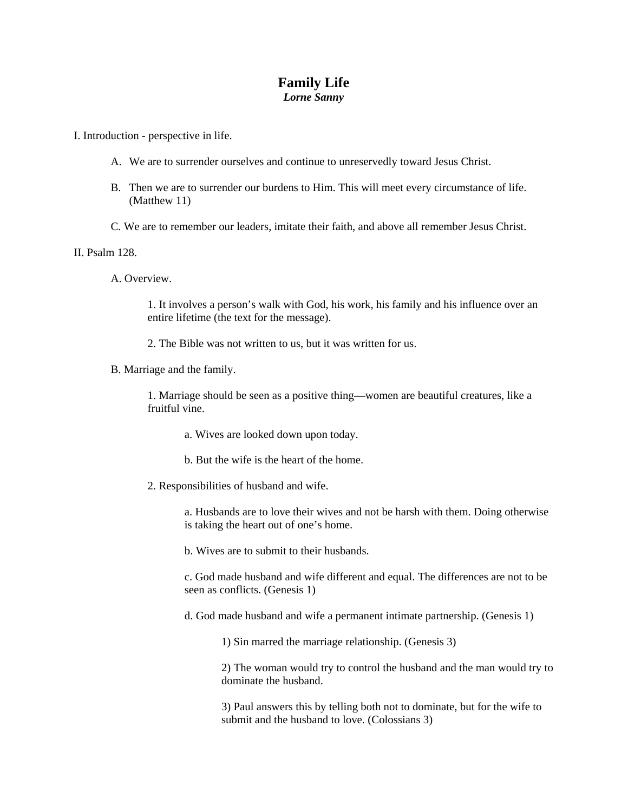## **Family Life**  *Lorne Sanny*

I. Introduction - perspective in life.

- A. We are to surrender ourselves and continue to unreservedly toward Jesus Christ.
- B. Then we are to surrender our burdens to Him. This will meet every circumstance of life. (Matthew 11)
- C. We are to remember our leaders, imitate their faith, and above all remember Jesus Christ.

II. Psalm 128.

A. Overview.

1. It involves a person's walk with God, his work, his family and his influence over an entire lifetime (the text for the message).

2. The Bible was not written to us, but it was written for us.

B. Marriage and the family.

1. Marriage should be seen as a positive thing—women are beautiful creatures, like a fruitful vine.

a. Wives are looked down upon today.

- b. But the wife is the heart of the home.
- 2. Responsibilities of husband and wife.

a. Husbands are to love their wives and not be harsh with them. Doing otherwise is taking the heart out of one's home.

b. Wives are to submit to their husbands.

c. God made husband and wife different and equal. The differences are not to be seen as conflicts. (Genesis 1)

d. God made husband and wife a permanent intimate partnership. (Genesis 1)

1) Sin marred the marriage relationship. (Genesis 3)

2) The woman would try to control the husband and the man would try to dominate the husband.

3) Paul answers this by telling both not to dominate, but for the wife to submit and the husband to love. (Colossians 3)